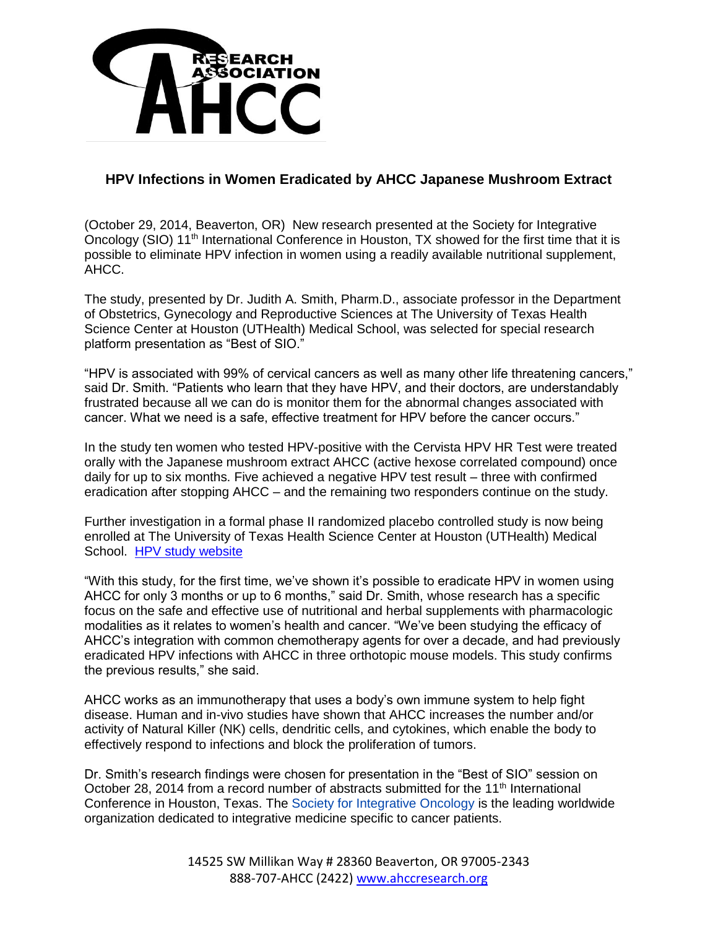

## **HPV Infections in Women Eradicated by AHCC Japanese Mushroom Extract**

(October 29, 2014, Beaverton, OR) New research presented at the Society for Integrative Oncology (SIO) 11th International Conference in Houston, TX showed for the first time that it is possible to eliminate HPV infection in women using a readily available nutritional supplement, AHCC.

The study, presented by Dr. Judith A. Smith, Pharm.D., associate professor in the Department of Obstetrics, Gynecology and Reproductive Sciences at The University of Texas Health Science Center at Houston (UTHealth) Medical School, was selected for special research platform presentation as "Best of SIO."

"HPV is associated with 99% of cervical cancers as well as many other life threatening cancers," said Dr. Smith. "Patients who learn that they have HPV, and their doctors, are understandably frustrated because all we can do is monitor them for the abnormal changes associated with cancer. What we need is a safe, effective treatment for HPV before the cancer occurs."

In the study ten women who tested HPV-positive with the Cervista HPV HR Test were treated orally with the Japanese mushroom extract AHCC (active hexose correlated compound) once daily for up to six months. Five achieved a negative HPV test result – three with confirmed eradication after stopping AHCC – and the remaining two responders continue on the study.

Further investigation in a formal phase II randomized placebo controlled study is now being enrolled at The University of Texas Health Science Center at Houston (UTHealth) Medical School. [HPV study website](https://med.uth.edu/obgyn/research/womens-health-integrative-medicine-research-program/)

"With this study, for the first time, we've shown it's possible to eradicate HPV in women using AHCC for only 3 months or up to 6 months," said Dr. Smith, whose research has a specific focus on the safe and effective use of nutritional and herbal supplements with pharmacologic modalities as it relates to women's health and cancer. "We've been studying the efficacy of AHCC's integration with common chemotherapy agents for over a decade, and had previously eradicated HPV infections with AHCC in three orthotopic mouse models. This study confirms the previous results," she said.

AHCC works as an immunotherapy that uses a body's own immune system to help fight disease. Human and in-vivo studies have shown that AHCC increases the number and/or activity of Natural Killer (NK) cells, dendritic cells, and cytokines, which enable the body to effectively respond to infections and block the proliferation of tumors.

Dr. Smith's research findings were chosen for presentation in the "Best of SIO" session on October 28, 2014 from a record number of abstracts submitted for the 11<sup>th</sup> International Conference in Houston, Texas. The [Society for Integrative Oncology](http://www.prweb.net/Redirect.aspx?id=aHR0cDovL3d3dy5pbnRlZ3JhdGl2ZW9uYy5vcmcv) is the leading worldwide organization dedicated to integrative medicine specific to cancer patients.